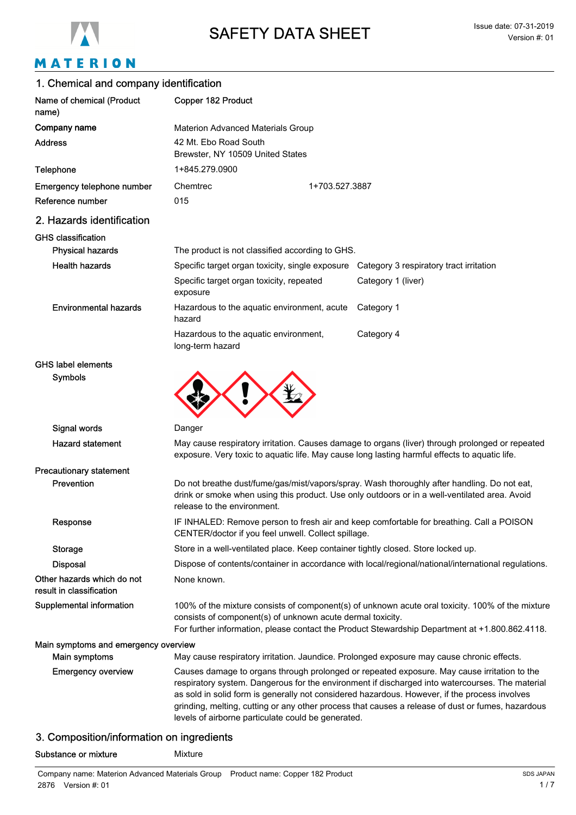

# MATERION

### 1. Chemical and company identification

| Name of chemical (Product<br>name)                     | Copper 182 Product                                                                                                                                                                                                                                               |                |                                                                                                                                                                                                                                                                                                                                                                                                      |
|--------------------------------------------------------|------------------------------------------------------------------------------------------------------------------------------------------------------------------------------------------------------------------------------------------------------------------|----------------|------------------------------------------------------------------------------------------------------------------------------------------------------------------------------------------------------------------------------------------------------------------------------------------------------------------------------------------------------------------------------------------------------|
| Company name                                           | <b>Materion Advanced Materials Group</b>                                                                                                                                                                                                                         |                |                                                                                                                                                                                                                                                                                                                                                                                                      |
| <b>Address</b>                                         | 42 Mt. Ebo Road South<br>Brewster, NY 10509 United States                                                                                                                                                                                                        |                |                                                                                                                                                                                                                                                                                                                                                                                                      |
| Telephone                                              | 1+845.279.0900                                                                                                                                                                                                                                                   |                |                                                                                                                                                                                                                                                                                                                                                                                                      |
| Emergency telephone number                             | Chemtrec                                                                                                                                                                                                                                                         | 1+703.527.3887 |                                                                                                                                                                                                                                                                                                                                                                                                      |
| Reference number                                       | 015                                                                                                                                                                                                                                                              |                |                                                                                                                                                                                                                                                                                                                                                                                                      |
| 2. Hazards identification                              |                                                                                                                                                                                                                                                                  |                |                                                                                                                                                                                                                                                                                                                                                                                                      |
| <b>GHS classification</b>                              |                                                                                                                                                                                                                                                                  |                |                                                                                                                                                                                                                                                                                                                                                                                                      |
| <b>Physical hazards</b>                                | The product is not classified according to GHS.                                                                                                                                                                                                                  |                |                                                                                                                                                                                                                                                                                                                                                                                                      |
| <b>Health hazards</b>                                  | Specific target organ toxicity, single exposure                                                                                                                                                                                                                  |                | Category 3 respiratory tract irritation                                                                                                                                                                                                                                                                                                                                                              |
|                                                        | Specific target organ toxicity, repeated<br>exposure                                                                                                                                                                                                             |                | Category 1 (liver)                                                                                                                                                                                                                                                                                                                                                                                   |
| <b>Environmental hazards</b>                           | Hazardous to the aquatic environment, acute<br>hazard                                                                                                                                                                                                            |                | Category 1                                                                                                                                                                                                                                                                                                                                                                                           |
|                                                        | Hazardous to the aquatic environment,<br>long-term hazard                                                                                                                                                                                                        |                | Category 4                                                                                                                                                                                                                                                                                                                                                                                           |
| <b>GHS label elements</b>                              |                                                                                                                                                                                                                                                                  |                |                                                                                                                                                                                                                                                                                                                                                                                                      |
| <b>Symbols</b>                                         |                                                                                                                                                                                                                                                                  |                |                                                                                                                                                                                                                                                                                                                                                                                                      |
| Signal words                                           | Danger                                                                                                                                                                                                                                                           |                |                                                                                                                                                                                                                                                                                                                                                                                                      |
| <b>Hazard statement</b>                                |                                                                                                                                                                                                                                                                  |                | May cause respiratory irritation. Causes damage to organs (liver) through prolonged or repeated<br>exposure. Very toxic to aquatic life. May cause long lasting harmful effects to aquatic life.                                                                                                                                                                                                     |
| <b>Precautionary statement</b>                         |                                                                                                                                                                                                                                                                  |                |                                                                                                                                                                                                                                                                                                                                                                                                      |
| Prevention                                             | Do not breathe dust/fume/gas/mist/vapors/spray. Wash thoroughly after handling. Do not eat,<br>drink or smoke when using this product. Use only outdoors or in a well-ventilated area. Avoid<br>release to the environment.                                      |                |                                                                                                                                                                                                                                                                                                                                                                                                      |
| Response                                               | IF INHALED: Remove person to fresh air and keep comfortable for breathing. Call a POISON<br>CENTER/doctor if you feel unwell. Collect spillage.                                                                                                                  |                |                                                                                                                                                                                                                                                                                                                                                                                                      |
| <b>Storage</b>                                         | Store in a well-ventilated place. Keep container tightly closed. Store locked up.                                                                                                                                                                                |                |                                                                                                                                                                                                                                                                                                                                                                                                      |
| <b>Disposal</b>                                        |                                                                                                                                                                                                                                                                  |                | Dispose of contents/container in accordance with local/regional/national/international regulations.                                                                                                                                                                                                                                                                                                  |
| Other hazards which do not<br>result in classification | None known.                                                                                                                                                                                                                                                      |                |                                                                                                                                                                                                                                                                                                                                                                                                      |
| Supplemental information                               | 100% of the mixture consists of component(s) of unknown acute oral toxicity. 100% of the mixture<br>consists of component(s) of unknown acute dermal toxicity.<br>For further information, please contact the Product Stewardship Department at +1.800.862.4118. |                |                                                                                                                                                                                                                                                                                                                                                                                                      |
| Main symptoms and emergency overview                   |                                                                                                                                                                                                                                                                  |                |                                                                                                                                                                                                                                                                                                                                                                                                      |
| <b>Main symptoms</b>                                   |                                                                                                                                                                                                                                                                  |                | May cause respiratory irritation. Jaundice. Prolonged exposure may cause chronic effects.                                                                                                                                                                                                                                                                                                            |
| <b>Emergency overview</b>                              | levels of airborne particulate could be generated.                                                                                                                                                                                                               |                | Causes damage to organs through prolonged or repeated exposure. May cause irritation to the<br>respiratory system. Dangerous for the environment if discharged into watercourses. The material<br>as sold in solid form is generally not considered hazardous. However, if the process involves<br>grinding, melting, cutting or any other process that causes a release of dust or fumes, hazardous |

## 3. Composition/information on ingredients

Substance or mixture Mixture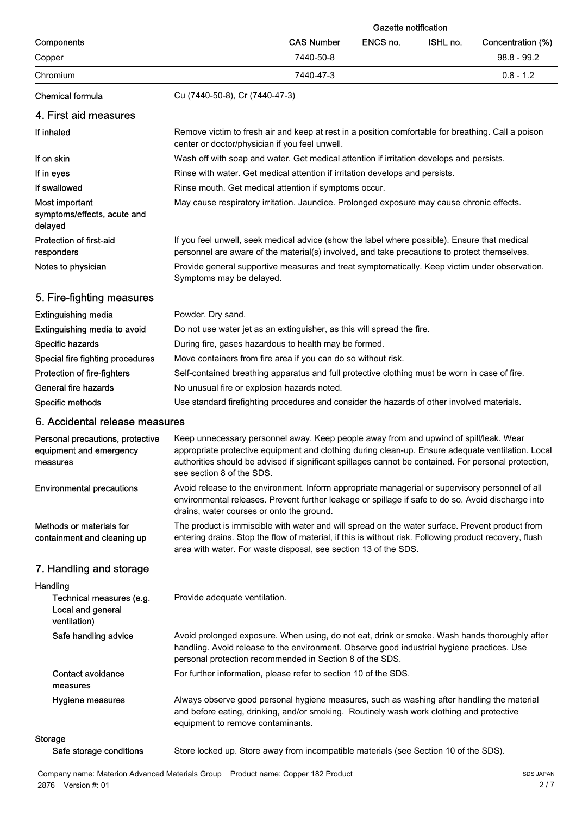|                                                                           |                                                                                                                                                                                                                                                                                                                                 | <b>Gazette notification</b> |          |                   |
|---------------------------------------------------------------------------|---------------------------------------------------------------------------------------------------------------------------------------------------------------------------------------------------------------------------------------------------------------------------------------------------------------------------------|-----------------------------|----------|-------------------|
| Components                                                                | <b>CAS Number</b>                                                                                                                                                                                                                                                                                                               | ENCS no.                    | ISHL no. | Concentration (%) |
| Copper                                                                    | 7440-50-8                                                                                                                                                                                                                                                                                                                       |                             |          | $98.8 - 99.2$     |
| Chromium                                                                  | 7440-47-3                                                                                                                                                                                                                                                                                                                       |                             |          | $0.8 - 1.2$       |
| <b>Chemical formula</b>                                                   | Cu (7440-50-8), Cr (7440-47-3)                                                                                                                                                                                                                                                                                                  |                             |          |                   |
| 4. First aid measures                                                     |                                                                                                                                                                                                                                                                                                                                 |                             |          |                   |
| If inhaled                                                                | Remove victim to fresh air and keep at rest in a position comfortable for breathing. Call a poison<br>center or doctor/physician if you feel unwell.                                                                                                                                                                            |                             |          |                   |
| If on skin                                                                | Wash off with soap and water. Get medical attention if irritation develops and persists.                                                                                                                                                                                                                                        |                             |          |                   |
| If in eyes                                                                | Rinse with water. Get medical attention if irritation develops and persists.                                                                                                                                                                                                                                                    |                             |          |                   |
| If swallowed                                                              | Rinse mouth. Get medical attention if symptoms occur.                                                                                                                                                                                                                                                                           |                             |          |                   |
| Most important<br>symptoms/effects, acute and<br>delayed                  | May cause respiratory irritation. Jaundice. Prolonged exposure may cause chronic effects.                                                                                                                                                                                                                                       |                             |          |                   |
| Protection of first-aid<br>responders                                     | If you feel unwell, seek medical advice (show the label where possible). Ensure that medical<br>personnel are aware of the material(s) involved, and take precautions to protect themselves.                                                                                                                                    |                             |          |                   |
| Notes to physician                                                        | Provide general supportive measures and treat symptomatically. Keep victim under observation.<br>Symptoms may be delayed.                                                                                                                                                                                                       |                             |          |                   |
| 5. Fire-fighting measures                                                 |                                                                                                                                                                                                                                                                                                                                 |                             |          |                   |
| <b>Extinguishing media</b>                                                | Powder. Dry sand.                                                                                                                                                                                                                                                                                                               |                             |          |                   |
| Extinguishing media to avoid                                              | Do not use water jet as an extinguisher, as this will spread the fire.                                                                                                                                                                                                                                                          |                             |          |                   |
| Specific hazards                                                          | During fire, gases hazardous to health may be formed.                                                                                                                                                                                                                                                                           |                             |          |                   |
| Special fire fighting procedures                                          | Move containers from fire area if you can do so without risk.                                                                                                                                                                                                                                                                   |                             |          |                   |
| Protection of fire-fighters                                               | Self-contained breathing apparatus and full protective clothing must be worn in case of fire.                                                                                                                                                                                                                                   |                             |          |                   |
| General fire hazards                                                      | No unusual fire or explosion hazards noted.                                                                                                                                                                                                                                                                                     |                             |          |                   |
| Specific methods                                                          | Use standard firefighting procedures and consider the hazards of other involved materials.                                                                                                                                                                                                                                      |                             |          |                   |
| 6. Accidental release measures                                            |                                                                                                                                                                                                                                                                                                                                 |                             |          |                   |
| Personal precautions, protective<br>equipment and emergency<br>measures   | Keep unnecessary personnel away. Keep people away from and upwind of spill/leak. Wear<br>appropriate protective equipment and clothing during clean-up. Ensure adequate ventilation. Local<br>authorities should be advised if significant spillages cannot be contained. For personal protection,<br>see section 8 of the SDS. |                             |          |                   |
| <b>Environmental precautions</b>                                          | Avoid release to the environment. Inform appropriate managerial or supervisory personnel of all<br>environmental releases. Prevent further leakage or spillage if safe to do so. Avoid discharge into<br>drains, water courses or onto the ground.                                                                              |                             |          |                   |
| Methods or materials for<br>containment and cleaning up                   | The product is immiscible with water and will spread on the water surface. Prevent product from<br>entering drains. Stop the flow of material, if this is without risk. Following product recovery, flush<br>area with water. For waste disposal, see section 13 of the SDS.                                                    |                             |          |                   |
| 7. Handling and storage                                                   |                                                                                                                                                                                                                                                                                                                                 |                             |          |                   |
| Handling<br>Technical measures (e.g.<br>Local and general<br>ventilation) | Provide adequate ventilation.                                                                                                                                                                                                                                                                                                   |                             |          |                   |
| Safe handling advice                                                      | Avoid prolonged exposure. When using, do not eat, drink or smoke. Wash hands thoroughly after<br>handling. Avoid release to the environment. Observe good industrial hygiene practices. Use<br>personal protection recommended in Section 8 of the SDS.                                                                         |                             |          |                   |
| <b>Contact avoidance</b><br>measures                                      | For further information, please refer to section 10 of the SDS.                                                                                                                                                                                                                                                                 |                             |          |                   |
| Hygiene measures                                                          | Always observe good personal hygiene measures, such as washing after handling the material<br>and before eating, drinking, and/or smoking. Routinely wash work clothing and protective<br>equipment to remove contaminants.                                                                                                     |                             |          |                   |
| <b>Storage</b><br>Safe storage conditions                                 | Store locked up. Store away from incompatible materials (see Section 10 of the SDS).                                                                                                                                                                                                                                            |                             |          |                   |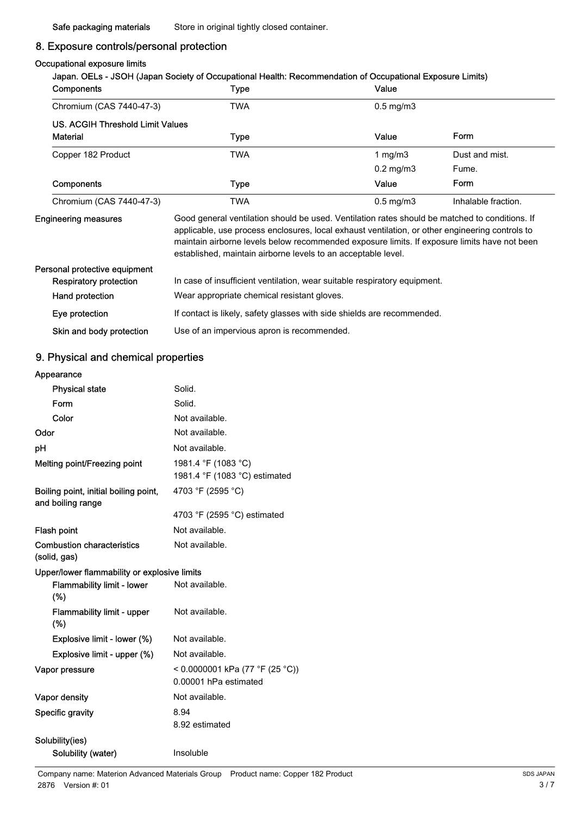## 8. Exposure controls/personal protection

#### Occupational exposure limits

| <b>Components</b>                | <b>Type</b>                                                                                                                                                                                                                                                                                       | Value          |                     |
|----------------------------------|---------------------------------------------------------------------------------------------------------------------------------------------------------------------------------------------------------------------------------------------------------------------------------------------------|----------------|---------------------|
| Chromium (CAS 7440-47-3)         | <b>TWA</b>                                                                                                                                                                                                                                                                                        | $0.5$ mg/m $3$ |                     |
| US. ACGIH Threshold Limit Values |                                                                                                                                                                                                                                                                                                   |                |                     |
| <b>Material</b>                  | Type                                                                                                                                                                                                                                                                                              | Value          | Form                |
| Copper 182 Product               | <b>TWA</b>                                                                                                                                                                                                                                                                                        | 1 mg/m $3$     | Dust and mist.      |
|                                  |                                                                                                                                                                                                                                                                                                   | $0.2$ mg/m $3$ | Fume.               |
| <b>Components</b>                | Type                                                                                                                                                                                                                                                                                              | Value          | Form                |
| Chromium (CAS 7440-47-3)         | <b>TWA</b>                                                                                                                                                                                                                                                                                        | $0.5$ mg/m $3$ | Inhalable fraction. |
| <b>Engineering measures</b>      | Good general ventilation should be used. Ventilation rates should be matched to conditions. If<br>applicable, use process enclosures, local exhaust ventilation, or other engineering controls to<br>maintain airborne levels below recommended exposure limits. If exposure limits have not been |                |                     |

|                               | established, maintain airborne levels to an acceptable level.             |
|-------------------------------|---------------------------------------------------------------------------|
| Personal protective equipment |                                                                           |
| <b>Respiratory protection</b> | In case of insufficient ventilation, wear suitable respiratory equipment. |
| Hand protection               | Wear appropriate chemical resistant gloves.                               |
| Eye protection                | If contact is likely, safety glasses with side shields are recommended.   |
| Skin and body protection      | Use of an impervious apron is recommended.                                |

### 9. Physical and chemical properties

#### Appearance

| <b>Physical state</b>                                      | Solid.                                                   |  |  |  |
|------------------------------------------------------------|----------------------------------------------------------|--|--|--|
| Form                                                       | Solid.                                                   |  |  |  |
| Color                                                      | Not available.                                           |  |  |  |
| Odor                                                       | Not available.                                           |  |  |  |
| рH                                                         | Not available.                                           |  |  |  |
| Melting point/Freezing point                               | 1981.4 °F (1083 °C)<br>1981.4 °F (1083 °C) estimated     |  |  |  |
| Boiling point, initial boiling point,<br>and boiling range | 4703 °F (2595 °C)                                        |  |  |  |
|                                                            | 4703 °F (2595 °C) estimated                              |  |  |  |
| Flash point                                                | Not available.                                           |  |  |  |
| <b>Combustion characteristics</b><br>(solid, gas)          | Not available.                                           |  |  |  |
| Upper/lower flammability or explosive limits               |                                                          |  |  |  |
| <b>Flammability limit - lower</b><br>(%)                   | Not available.                                           |  |  |  |
| <b>Flammability limit - upper</b><br>$(\%)$                | Not available.                                           |  |  |  |
| Explosive limit - lower (%)                                | Not available.                                           |  |  |  |
| Explosive limit - upper (%)                                | Not available.                                           |  |  |  |
| Vapor pressure                                             | < 0.0000001 kPa (77 °F (25 °C))<br>0.00001 hPa estimated |  |  |  |
| Vapor density                                              | Not available.                                           |  |  |  |
| Specific gravity                                           | 8.94<br>8.92 estimated                                   |  |  |  |
| Solubility(ies)                                            |                                                          |  |  |  |
| Solubility (water)                                         | Insoluble                                                |  |  |  |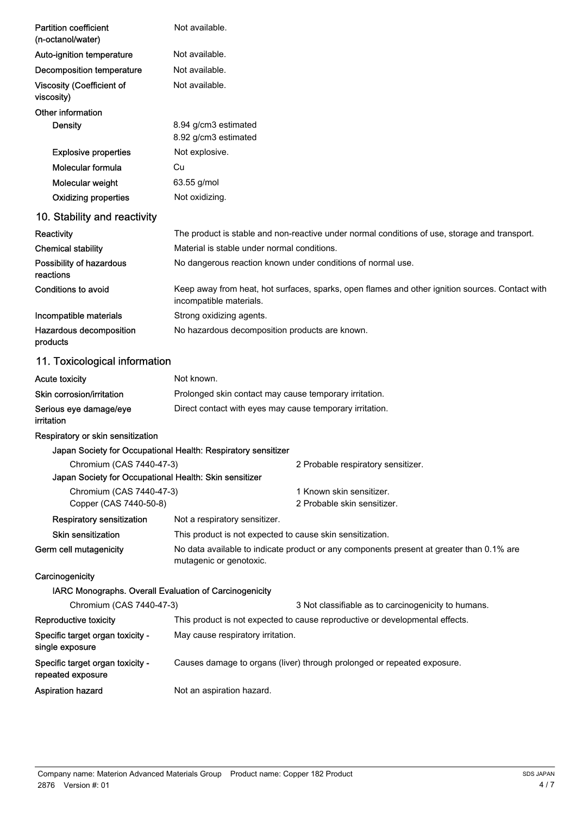| <b>Partition coefficient</b><br>(n-octanol/water)                                  | Not available.                                                                                                             |  |  |
|------------------------------------------------------------------------------------|----------------------------------------------------------------------------------------------------------------------------|--|--|
| Auto-ignition temperature                                                          | Not available.                                                                                                             |  |  |
| Decomposition temperature                                                          | Not available.                                                                                                             |  |  |
| <b>Viscosity (Coefficient of</b><br>viscosity)                                     | Not available.                                                                                                             |  |  |
| Other information                                                                  |                                                                                                                            |  |  |
| <b>Density</b>                                                                     | 8.94 g/cm3 estimated<br>8.92 g/cm3 estimated                                                                               |  |  |
| <b>Explosive properties</b>                                                        | Not explosive.                                                                                                             |  |  |
| Molecular formula                                                                  | Cu                                                                                                                         |  |  |
| Molecular weight                                                                   | 63.55 g/mol                                                                                                                |  |  |
| <b>Oxidizing properties</b>                                                        | Not oxidizing.                                                                                                             |  |  |
| 10. Stability and reactivity                                                       |                                                                                                                            |  |  |
| Reactivity                                                                         | The product is stable and non-reactive under normal conditions of use, storage and transport.                              |  |  |
| <b>Chemical stability</b>                                                          | Material is stable under normal conditions.                                                                                |  |  |
| Possibility of hazardous<br>reactions                                              | No dangerous reaction known under conditions of normal use.                                                                |  |  |
| <b>Conditions to avoid</b>                                                         | Keep away from heat, hot surfaces, sparks, open flames and other ignition sources. Contact with<br>incompatible materials. |  |  |
| Incompatible materials                                                             | Strong oxidizing agents.                                                                                                   |  |  |
| Hazardous decomposition<br>products                                                | No hazardous decomposition products are known.                                                                             |  |  |
| 11. Toxicological information                                                      |                                                                                                                            |  |  |
| <b>Acute toxicity</b>                                                              | Not known.                                                                                                                 |  |  |
| Skin corrosion/irritation                                                          | Prolonged skin contact may cause temporary irritation.                                                                     |  |  |
| Serious eye damage/eye<br>irritation                                               | Direct contact with eyes may cause temporary irritation.                                                                   |  |  |
| Respiratory or skin sensitization                                                  |                                                                                                                            |  |  |
|                                                                                    | Japan Society for Occupational Health: Respiratory sensitizer                                                              |  |  |
| Chromium (CAS 7440-47-3)                                                           | 2 Probable respiratory sensitizer.                                                                                         |  |  |
| Japan Society for Occupational Health: Skin sensitizer<br>Chromium (CAS 7440-47-3) | 1 Known skin sensitizer.                                                                                                   |  |  |
| Copper (CAS 7440-50-8)                                                             | 2 Probable skin sensitizer.                                                                                                |  |  |
| <b>Respiratory sensitization</b>                                                   | Not a respiratory sensitizer.                                                                                              |  |  |
| Skin sensitization                                                                 | This product is not expected to cause skin sensitization.                                                                  |  |  |
| Germ cell mutagenicity                                                             | No data available to indicate product or any components present at greater than 0.1% are<br>mutagenic or genotoxic.        |  |  |
| Carcinogenicity                                                                    |                                                                                                                            |  |  |
| IARC Monographs. Overall Evaluation of Carcinogenicity                             |                                                                                                                            |  |  |
| Chromium (CAS 7440-47-3)                                                           | 3 Not classifiable as to carcinogenicity to humans.                                                                        |  |  |
| Reproductive toxicity                                                              | This product is not expected to cause reproductive or developmental effects.                                               |  |  |
| Specific target organ toxicity -<br>single exposure                                | May cause respiratory irritation.                                                                                          |  |  |
| Specific target organ toxicity -<br>repeated exposure                              | Causes damage to organs (liver) through prolonged or repeated exposure.                                                    |  |  |
| <b>Aspiration hazard</b>                                                           | Not an aspiration hazard.                                                                                                  |  |  |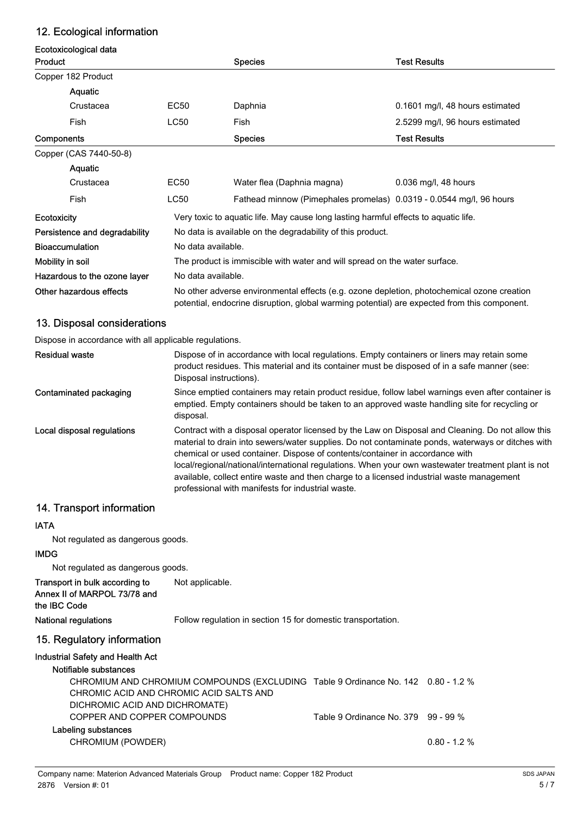## 12. Ecological information

#### Ecotoxicological data **Product Species** Species **Species Species Species Species Species Species Species Species Species Species Species Species Species Species Species Species Species Species Species Spe**

|                                                                                                                                                                                                                       | Copper 182 Product     |                    |                                                                     |                                 |  |
|-----------------------------------------------------------------------------------------------------------------------------------------------------------------------------------------------------------------------|------------------------|--------------------|---------------------------------------------------------------------|---------------------------------|--|
|                                                                                                                                                                                                                       | <b>Aquatic</b>         |                    |                                                                     |                                 |  |
|                                                                                                                                                                                                                       | Crustacea              | EC50               | Daphnia                                                             | 0.1601 mg/l, 48 hours estimated |  |
|                                                                                                                                                                                                                       | Fish                   | LC50               | Fish                                                                | 2.5299 mg/l, 96 hours estimated |  |
| Components                                                                                                                                                                                                            |                        |                    | <b>Species</b>                                                      | <b>Test Results</b>             |  |
|                                                                                                                                                                                                                       | Copper (CAS 7440-50-8) |                    |                                                                     |                                 |  |
|                                                                                                                                                                                                                       | Aquatic                |                    |                                                                     |                                 |  |
|                                                                                                                                                                                                                       | Crustacea              | EC50               | Water flea (Daphnia magna)                                          | $0.036$ mg/l, 48 hours          |  |
|                                                                                                                                                                                                                       | Fish                   | LC50               | Fathead minnow (Pimephales promelas) 0.0319 - 0.0544 mg/l, 96 hours |                                 |  |
| Very toxic to aquatic life. May cause long lasting harmful effects to aquatic life.<br><b>Ecotoxicity</b>                                                                                                             |                        |                    |                                                                     |                                 |  |
| Persistence and degradability<br>No data is available on the degradability of this product.                                                                                                                           |                        |                    |                                                                     |                                 |  |
| <b>Bioaccumulation</b><br>No data available.                                                                                                                                                                          |                        |                    |                                                                     |                                 |  |
| Mobility in soil<br>The product is immiscible with water and will spread on the water surface.                                                                                                                        |                        |                    |                                                                     |                                 |  |
| Hazardous to the ozone layer                                                                                                                                                                                          |                        | No data available. |                                                                     |                                 |  |
| Other hazardous effects<br>No other adverse environmental effects (e.g. ozone depletion, photochemical ozone creation<br>potential, endocrine disruption, global warming potential) are expected from this component. |                        |                    |                                                                     |                                 |  |

### 13. Disposal considerations

Dispose in accordance with all applicable regulations.

| <b>Residual waste</b>      | Dispose of in accordance with local regulations. Empty containers or liners may retain some<br>product residues. This material and its container must be disposed of in a safe manner (see:<br>Disposal instructions).                                                                                                                                                                                                                                                                                                                         |
|----------------------------|------------------------------------------------------------------------------------------------------------------------------------------------------------------------------------------------------------------------------------------------------------------------------------------------------------------------------------------------------------------------------------------------------------------------------------------------------------------------------------------------------------------------------------------------|
| Contaminated packaging     | Since emptied containers may retain product residue, follow label warnings even after container is<br>emptied. Empty containers should be taken to an approved waste handling site for recycling or<br>disposal.                                                                                                                                                                                                                                                                                                                               |
| Local disposal regulations | Contract with a disposal operator licensed by the Law on Disposal and Cleaning. Do not allow this<br>material to drain into sewers/water supplies. Do not contaminate ponds, waterways or ditches with<br>chemical or used container. Dispose of contents/container in accordance with<br>local/regional/national/international regulations. When your own wastewater treatment plant is not<br>available, collect entire waste and then charge to a licensed industrial waste management<br>professional with manifests for industrial waste. |

## 14. Transport information

#### IATA

Not regulated as dangerous goods.

#### IMDG

Not regulated as dangerous goods.

| Transport in bulk according to<br>Annex II of MARPOL 73/78 and<br>the IBC Code | Not applicable.                                                                                                              |                                     |                |
|--------------------------------------------------------------------------------|------------------------------------------------------------------------------------------------------------------------------|-------------------------------------|----------------|
| <b>National regulations</b>                                                    | Follow regulation in section 15 for domestic transportation.                                                                 |                                     |                |
| 15. Regulatory information                                                     |                                                                                                                              |                                     |                |
| Industrial Safety and Health Act                                               |                                                                                                                              |                                     |                |
| Notifiable substances                                                          |                                                                                                                              |                                     |                |
| DICHROMIC ACID AND DICHROMATE)                                                 | CHROMIUM AND CHROMIUM COMPOUNDS (EXCLUDING Table 9 Ordinance No. 142 0.80 - 1.2 %<br>CHROMIC ACID AND CHROMIC ACID SALTS AND |                                     |                |
| COPPER AND COPPER COMPOUNDS                                                    |                                                                                                                              | Table 9 Ordinance No. 379 99 - 99 % |                |
| Labeling substances                                                            |                                                                                                                              |                                     |                |
| CHROMIUM (POWDER)                                                              |                                                                                                                              |                                     | $0.80 - 1.2$ % |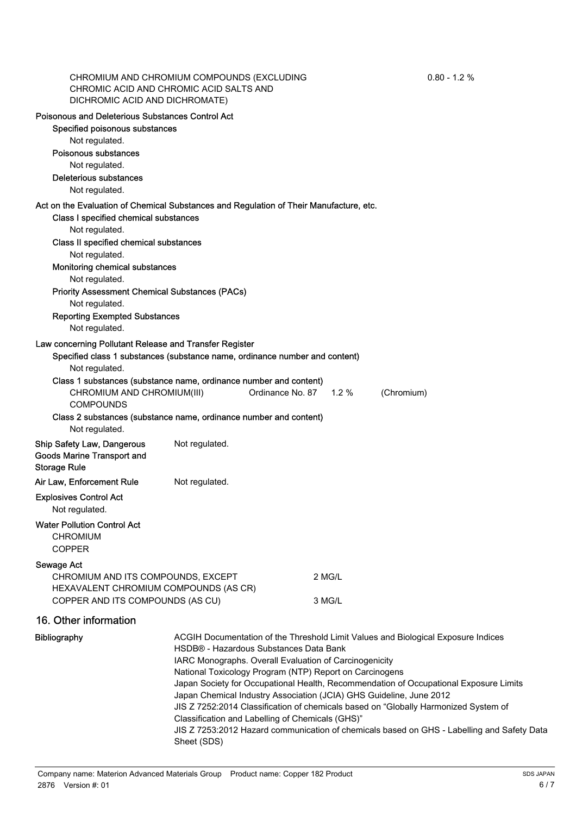| DICHROMIC ACID AND DICHROMATE)                                                                | CHROMIUM AND CHROMIUM COMPOUNDS (EXCLUDING<br>CHROMIC ACID AND CHROMIC ACID SALTS AND                                                            | $0.80 - 1.2 %$                                                                             |  |  |  |
|-----------------------------------------------------------------------------------------------|--------------------------------------------------------------------------------------------------------------------------------------------------|--------------------------------------------------------------------------------------------|--|--|--|
| Poisonous and Deleterious Substances Control Act                                              |                                                                                                                                                  |                                                                                            |  |  |  |
| Specified poisonous substances                                                                |                                                                                                                                                  |                                                                                            |  |  |  |
| Not regulated.                                                                                |                                                                                                                                                  |                                                                                            |  |  |  |
| Poisonous substances                                                                          |                                                                                                                                                  |                                                                                            |  |  |  |
| Not regulated.                                                                                |                                                                                                                                                  |                                                                                            |  |  |  |
| Deleterious substances                                                                        |                                                                                                                                                  |                                                                                            |  |  |  |
| Not regulated.                                                                                |                                                                                                                                                  |                                                                                            |  |  |  |
| Act on the Evaluation of Chemical Substances and Regulation of Their Manufacture, etc.        |                                                                                                                                                  |                                                                                            |  |  |  |
| Class I specified chemical substances                                                         |                                                                                                                                                  |                                                                                            |  |  |  |
| Not regulated.                                                                                |                                                                                                                                                  |                                                                                            |  |  |  |
| Class II specified chemical substances                                                        |                                                                                                                                                  |                                                                                            |  |  |  |
| Not regulated.                                                                                |                                                                                                                                                  |                                                                                            |  |  |  |
| Monitoring chemical substances                                                                |                                                                                                                                                  |                                                                                            |  |  |  |
| Not regulated.                                                                                |                                                                                                                                                  |                                                                                            |  |  |  |
| <b>Priority Assessment Chemical Substances (PACs)</b>                                         |                                                                                                                                                  |                                                                                            |  |  |  |
| Not regulated.                                                                                |                                                                                                                                                  |                                                                                            |  |  |  |
| <b>Reporting Exempted Substances</b>                                                          |                                                                                                                                                  |                                                                                            |  |  |  |
| Not regulated.                                                                                |                                                                                                                                                  |                                                                                            |  |  |  |
| Law concerning Pollutant Release and Transfer Register                                        |                                                                                                                                                  |                                                                                            |  |  |  |
|                                                                                               | Specified class 1 substances (substance name, ordinance number and content)                                                                      |                                                                                            |  |  |  |
| Not regulated.                                                                                |                                                                                                                                                  |                                                                                            |  |  |  |
|                                                                                               | Class 1 substances (substance name, ordinance number and content)                                                                                |                                                                                            |  |  |  |
| CHROMIUM AND CHROMIUM(III)                                                                    |                                                                                                                                                  | Ordinance No. 87 1.2 %<br>(Chromium)                                                       |  |  |  |
| <b>COMPOUNDS</b>                                                                              |                                                                                                                                                  |                                                                                            |  |  |  |
| Not regulated.                                                                                | Class 2 substances (substance name, ordinance number and content)                                                                                |                                                                                            |  |  |  |
| <b>Ship Safety Law, Dangerous</b><br><b>Goods Marine Transport and</b><br><b>Storage Rule</b> | Not regulated.                                                                                                                                   |                                                                                            |  |  |  |
| Air Law, Enforcement Rule                                                                     | Not regulated.                                                                                                                                   |                                                                                            |  |  |  |
| <b>Explosives Control Act</b>                                                                 |                                                                                                                                                  |                                                                                            |  |  |  |
| Not regulated.                                                                                |                                                                                                                                                  |                                                                                            |  |  |  |
| <b>Water Pollution Control Act</b>                                                            |                                                                                                                                                  |                                                                                            |  |  |  |
| <b>CHROMIUM</b>                                                                               |                                                                                                                                                  |                                                                                            |  |  |  |
| <b>COPPER</b>                                                                                 |                                                                                                                                                  |                                                                                            |  |  |  |
|                                                                                               |                                                                                                                                                  |                                                                                            |  |  |  |
| Sewage Act                                                                                    |                                                                                                                                                  | 2 MG/L                                                                                     |  |  |  |
| CHROMIUM AND ITS COMPOUNDS, EXCEPT<br>HEXAVALENT CHROMIUM COMPOUNDS (AS CR)                   |                                                                                                                                                  |                                                                                            |  |  |  |
| COPPER AND ITS COMPOUNDS (AS CU)                                                              |                                                                                                                                                  | 3 MG/L                                                                                     |  |  |  |
| 16. Other information                                                                         |                                                                                                                                                  |                                                                                            |  |  |  |
|                                                                                               |                                                                                                                                                  |                                                                                            |  |  |  |
| <b>Bibliography</b>                                                                           |                                                                                                                                                  | ACGIH Documentation of the Threshold Limit Values and Biological Exposure Indices          |  |  |  |
|                                                                                               | HSDB® - Hazardous Substances Data Bank                                                                                                           |                                                                                            |  |  |  |
|                                                                                               | IARC Monographs. Overall Evaluation of Carcinogenicity                                                                                           |                                                                                            |  |  |  |
|                                                                                               | National Toxicology Program (NTP) Report on Carcinogens<br>Japan Society for Occupational Health, Recommendation of Occupational Exposure Limits |                                                                                            |  |  |  |
|                                                                                               |                                                                                                                                                  | Japan Chemical Industry Association (JCIA) GHS Guideline, June 2012                        |  |  |  |
|                                                                                               |                                                                                                                                                  | JIS Z 7252:2014 Classification of chemicals based on "Globally Harmonized System of        |  |  |  |
|                                                                                               | Classification and Labelling of Chemicals (GHS)"                                                                                                 |                                                                                            |  |  |  |
|                                                                                               |                                                                                                                                                  | JIS Z 7253:2012 Hazard communication of chemicals based on GHS - Labelling and Safety Data |  |  |  |
|                                                                                               | Sheet (SDS)                                                                                                                                      |                                                                                            |  |  |  |